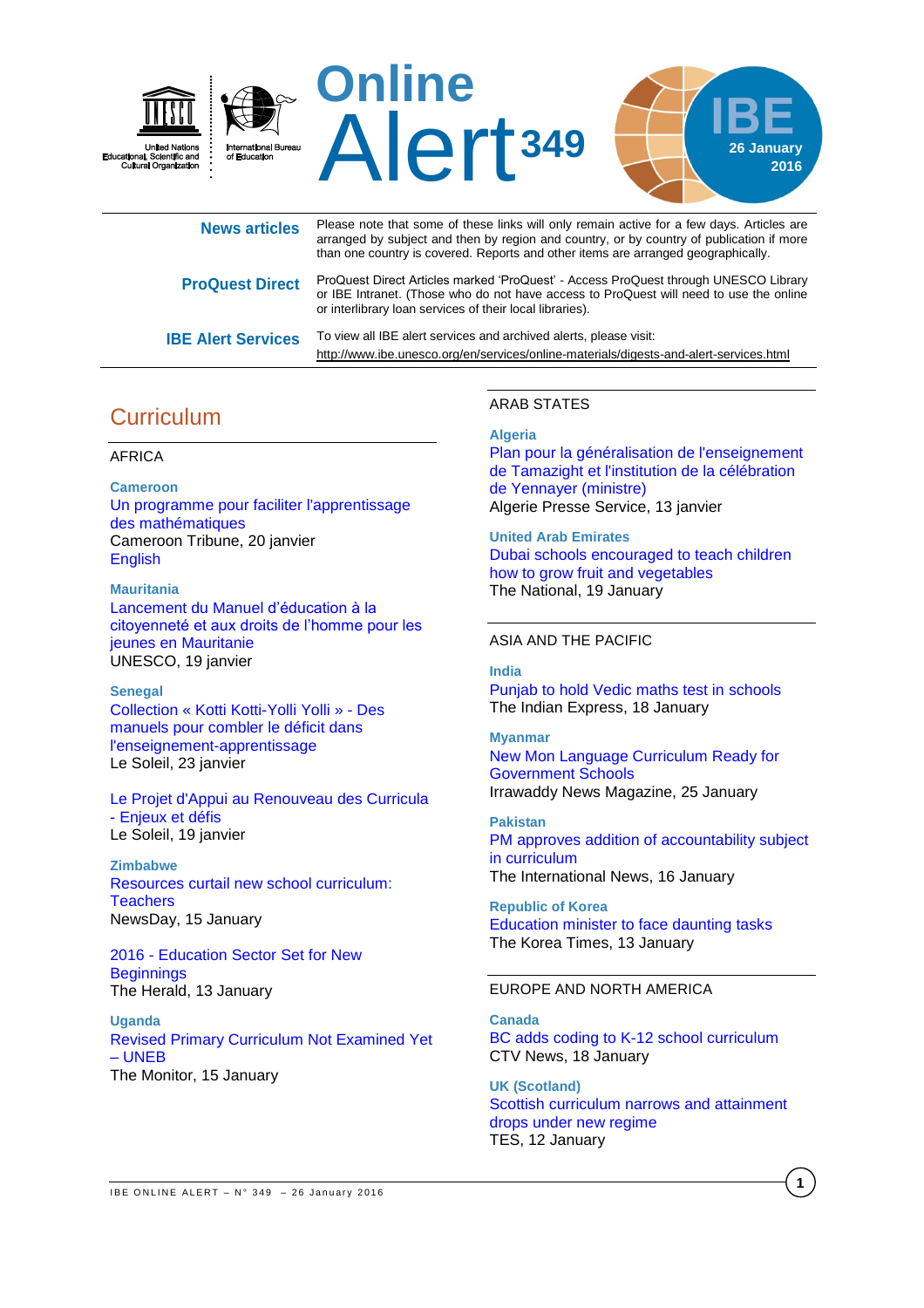

| <b>News articles</b>      | Please note that some of these links will only remain active for a few days. Articles are<br>arranged by subject and then by region and country, or by country of publication if more<br>than one country is covered. Reports and other items are arranged geographically. |
|---------------------------|----------------------------------------------------------------------------------------------------------------------------------------------------------------------------------------------------------------------------------------------------------------------------|
| <b>ProQuest Direct</b>    | ProQuest Direct Articles marked 'ProQuest' - Access ProQuest through UNESCO Library<br>or IBE Intranet. (Those who do not have access to ProQuest will need to use the online<br>or interlibrary loan services of their local libraries).                                  |
| <b>IBE Alert Services</b> | To view all IBE alert services and archived alerts, please visit:<br>http://www.ibe.unesco.org/en/services/online-materials/digests-and-alert-services.html                                                                                                                |

# **Curriculum**

# AFRICA

**Cameroon** [Un programme pour faciliter l'apprentissage](http://fr.allafrica.com/stories/201601201570.html)  [des mathématiques](http://fr.allafrica.com/stories/201601201570.html) Cameroon Tribune, 20 janvier [English](http://allafrica.com/stories/201601201115.html)

**Mauritania** [Lancement du Manuel d'éducation à la](http://fr.unesco.org/events/lancement-du-manuel-education-citoyennete-aux-droits-homme-jeunes-mauritanie)  [citoyenneté et aux droits de l'homme pour les](http://fr.unesco.org/events/lancement-du-manuel-education-citoyennete-aux-droits-homme-jeunes-mauritanie)  [jeunes en Mauritanie](http://fr.unesco.org/events/lancement-du-manuel-education-citoyennete-aux-droits-homme-jeunes-mauritanie) UNESCO, 19 janvier

## **Senegal**

[Collection « Kotti Kotti-Yolli Yolli](http://fr.allafrica.com/stories/201601200377.html) » - Des [manuels pour combler le déficit dans](http://fr.allafrica.com/stories/201601200377.html)  [l'enseignement-apprentissage](http://fr.allafrica.com/stories/201601200377.html) Le Soleil, 23 janvier

[Le Projet d'Appui au Renouveau des Curricula](http://fr.allafrica.com/stories/201601230541.html)  - [Enjeux et défis](http://fr.allafrica.com/stories/201601230541.html) Le Soleil, 19 janvier

**Zimbabwe** [Resources curtail new school curriculum:](https://www.newsday.co.zw/2016/01/15/resources-curtail-new-school-curriculum-teachers/)  **[Teachers](https://www.newsday.co.zw/2016/01/15/resources-curtail-new-school-curriculum-teachers/)** NewsDay, 15 January

2016 - [Education Sector Set for New](http://allafrica.com/stories/201601130245.html)  **[Beginnings](http://allafrica.com/stories/201601130245.html)** The Herald, 13 January

**Uganda** [Revised Primary Curriculum Not Examined Yet](http://allafrica.com/stories/201601150173.html)  – [UNEB](http://allafrica.com/stories/201601150173.html) The Monitor, 15 January

# ARAB STATES

# **Algeria**

[Plan pour la généralisation de l'enseignement](http://www.aps.dz/algerie/34742-plan-pour-la-g%C3%A9n%C3%A9ralisation-de-l-enseignement-de-tamazight-et-l-institution-de-la-c%C3%A9l%C3%A9bration-de-yennayer-ministre)  [de Tamazight et l'institution de la célébration](http://www.aps.dz/algerie/34742-plan-pour-la-g%C3%A9n%C3%A9ralisation-de-l-enseignement-de-tamazight-et-l-institution-de-la-c%C3%A9l%C3%A9bration-de-yennayer-ministre)  [de Yennayer \(ministre\)](http://www.aps.dz/algerie/34742-plan-pour-la-g%C3%A9n%C3%A9ralisation-de-l-enseignement-de-tamazight-et-l-institution-de-la-c%C3%A9l%C3%A9bration-de-yennayer-ministre) Algerie Presse Service, 13 janvier

**United Arab Emirates** [Dubai schools encouraged to teach children](http://www.thenational.ae/uae/education/dubai-schools-encouraged-to-teach-children-how-to-grow-fruit-and-vegetables)  how to [grow fruit and vegetables](http://www.thenational.ae/uae/education/dubai-schools-encouraged-to-teach-children-how-to-grow-fruit-and-vegetables) The National, 19 January

# ASIA AND THE PACIFIC

## **India**

[Punjab to hold Vedic maths test in](http://indianexpress.com/article/india/india-news-india/punjab-to-hold-vedic-maths-test-in-schools/) schools The Indian Express, 18 January

## **Myanmar**

[New Mon Language Curriculum Ready for](http://www.irrawaddy.com/burma/new-mon-language-curriculum-ready-for-government-schools.html)  [Government Schools](http://www.irrawaddy.com/burma/new-mon-language-curriculum-ready-for-government-schools.html) Irrawaddy News Magazine, 25 January

**Pakistan** [PM approves addition of accountability subject](http://www.thenews.com.pk/latest/504-pm-approves-addition-of-accountability-subject-in-curriculum)  [in curriculum](http://www.thenews.com.pk/latest/504-pm-approves-addition-of-accountability-subject-in-curriculum) The International News, 16 January

**Republic of Korea** [Education minister to face daunting tasks](http://koreatimes.co.kr/www/news/nation/2016/01/113_195372.html) The Korea Times, 13 January

# EUROPE AND NORTH AMERICA

**Canada** [BC adds coding to K-12 school curriculum](http://www.ctvnews.ca/politics/b-c-adds-coding-to-k-12-school-curriculum-1.2742593) CTV News, 18 January

**UK (Scotland)** [Scottish curriculum narrows and attainment](https://www.tes.com/news/school-news/breaking-news/scottish-curriculum-narrows-and-attainment-drops-under-new-regime)  [drops under new regime](https://www.tes.com/news/school-news/breaking-news/scottish-curriculum-narrows-and-attainment-drops-under-new-regime) TES, 12 January

**1**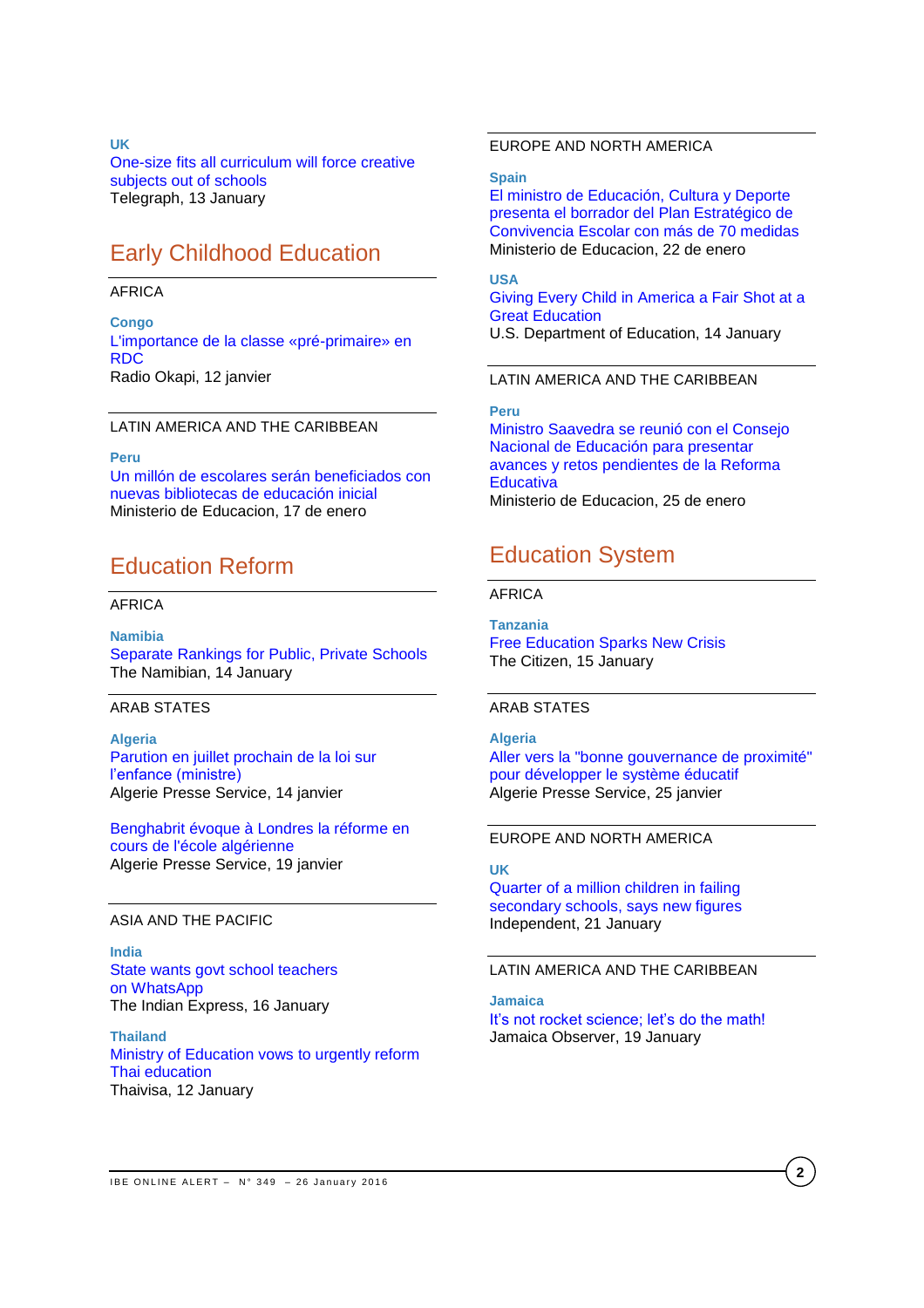**UK**

[One-size fits all curriculum will force creative](http://www.telegraph.co.uk/education/educationopinion/12095460/One-size-fits-all-curriculum-will-force-creative-subjects-out-of-schools.html)  [subjects out of schools](http://www.telegraph.co.uk/education/educationopinion/12095460/One-size-fits-all-curriculum-will-force-creative-subjects-out-of-schools.html) Telegraph, 13 January

# Early Childhood Education

### AFRICA

**Congo** [L'importance de la classe «pré-primaire» en](http://fr.allafrica.com/stories/201601121552.html)  [RDC](http://fr.allafrica.com/stories/201601121552.html) Radio Okapi, 12 janvier

## LATIN AMERICA AND THE CARIBBEAN

### **Peru**

[Un millón de escolares serán beneficiados con](http://www.minedu.gob.pe/n/noticia.php?id=36375)  [nuevas bibliotecas de educación inicial](http://www.minedu.gob.pe/n/noticia.php?id=36375) Ministerio de Educacion, 17 de enero

# Education Reform

# AFRICA

**Namibia** [Separate Rankings for Public, Private Schools](http://allafrica.com/stories/201601141017.html) The Namibian, 14 January

## ARAB STATES

**Algeria** [Parution en juillet prochain de la loi sur](http://www.aps.dz/societe/34842-parution-en-juillet-prochain-de-la-loi-sur-l%E2%80%99enfance-ministre)  [l'enfance \(ministre\)](http://www.aps.dz/societe/34842-parution-en-juillet-prochain-de-la-loi-sur-l%E2%80%99enfance-ministre) Algerie Presse Service, 14 janvier

[Benghabrit évoque à Londres la réforme en](http://fr.allafrica.com/stories/201601191670.html)  [cours de l'école algérienne](http://fr.allafrica.com/stories/201601191670.html) Algerie Presse Service, 19 janvier

#### ASIA AND THE PACIFIC

**India** [State wants govt school teachers](http://indianexpress.com/article/cities/mumbai/state-wants-govt-school-teachers-on-whatsapp/)  on [WhatsApp](http://indianexpress.com/article/cities/mumbai/state-wants-govt-school-teachers-on-whatsapp/) The Indian Express, 16 January

**Thailand**  [Ministry of Education vows to urgently reform](http://news.thaivisa.com/thailand/ministry-of-education-vows-to-urgently-reform-thai-education/127747/)  [Thai education](http://news.thaivisa.com/thailand/ministry-of-education-vows-to-urgently-reform-thai-education/127747/) Thaivisa, 12 January

# EUROPE AND NORTH AMERICA

#### **Spain**

[El ministro de Educación, Cultura y Deporte](http://www.mecd.gob.es/prensa-mecd/actualidad/2016/01/20160122-conv.html)  [presenta el borrador del Plan Estratégico de](http://www.mecd.gob.es/prensa-mecd/actualidad/2016/01/20160122-conv.html)  [Convivencia Escolar con más de 70 medidas](http://www.mecd.gob.es/prensa-mecd/actualidad/2016/01/20160122-conv.html) Ministerio de Educacion, 22 de enero

# **USA**

[Giving Every Child in America a Fair Shot at a](http://www.ed.gov/news/press-releases/giving-every-child-america-fair-shot-great-education)  [Great Education](http://www.ed.gov/news/press-releases/giving-every-child-america-fair-shot-great-education)

U.S. Department of Education, 14 January

LATIN AMERICA AND THE CARIBBEAN

**Peru** [Ministro Saavedra se reunió con el Consejo](http://www.minedu.gob.pe/n/noticia.php?id=36483)  [Nacional de Educación para presentar](http://www.minedu.gob.pe/n/noticia.php?id=36483)  [avances y retos pendientes de la Reforma](http://www.minedu.gob.pe/n/noticia.php?id=36483)  **[Educativa](http://www.minedu.gob.pe/n/noticia.php?id=36483)** Ministerio de Educacion, 25 de enero

# Education System

## AFRICA

**Tanzania** [Free Education Sparks New Crisis](http://allafrica.com/stories/201601150721.html) The Citizen, 15 January

# ARAB STATES

**Algeria** [Aller vers la "bonne gouvernance de proximité"](http://fr.allafrica.com/stories/201601240094.html)  [pour développer le système éducatif](http://fr.allafrica.com/stories/201601240094.html) Algerie Presse Service, 25 janvier

## EUROPE AND NORTH AMERICA

## **UK**

[Quarter of a million children in failing](http://www.independent.co.uk/news/education/education-news/quarter-of-a-million-children-in-failing-secondary-schools-says-new-figures-a6826276.html)  [secondary schools, says new figures](http://www.independent.co.uk/news/education/education-news/quarter-of-a-million-children-in-failing-secondary-schools-says-new-figures-a6826276.html) Independent, 21 January

## LATIN AMERICA AND THE CARIBBEAN

**Jamaica** [It's not rocket science; let's do the math!](http://www.jamaicaobserver.com/editorial/It-s-not-rocket-science--let-s-do-the-math--_49090) Jamaica Observer, 19 January

**2**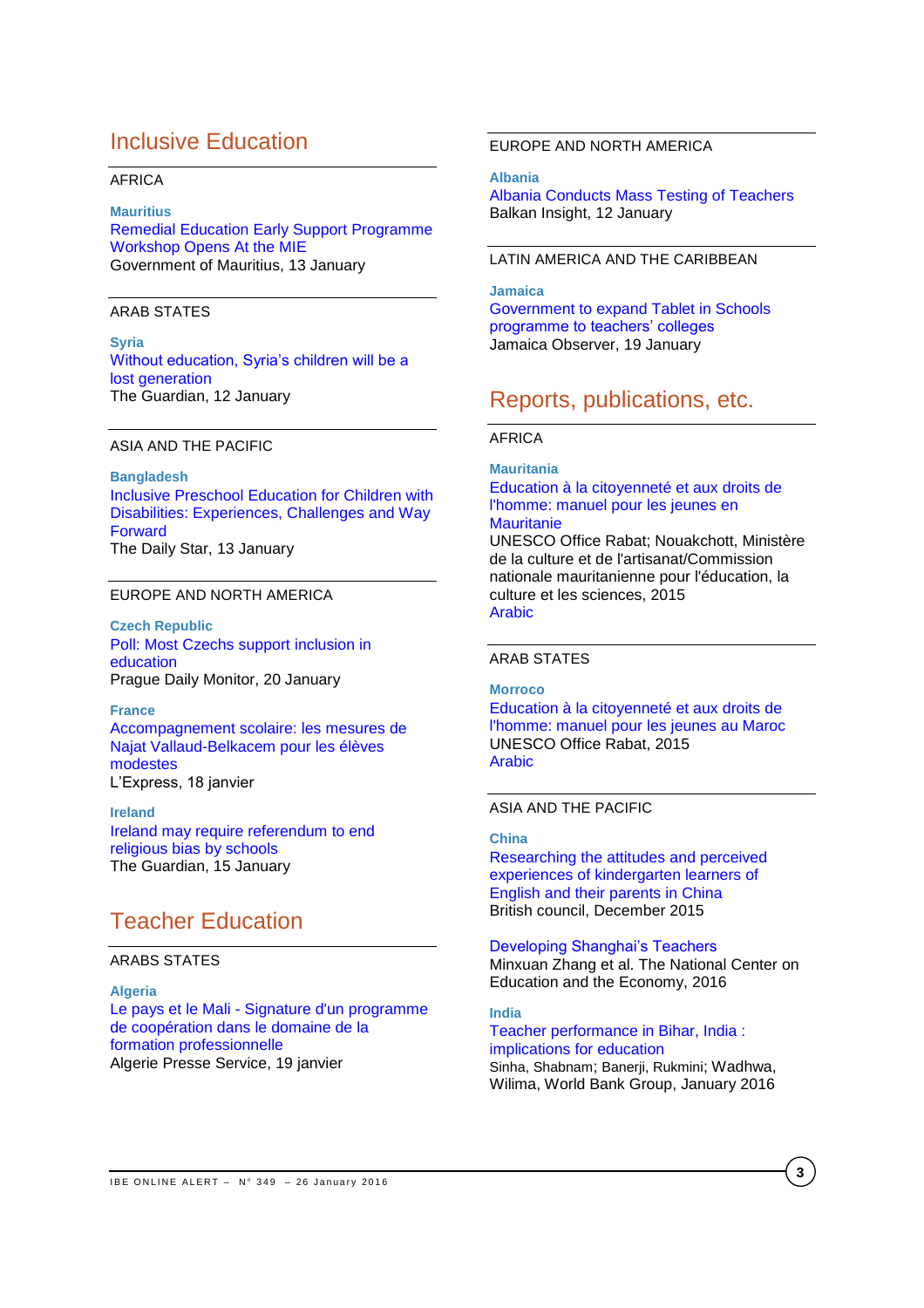# Inclusive Education

## AFRICA

## **Mauritius**

[Remedial Education Early Support Programme](http://allafrica.com/stories/201601131040.html)  [Workshop Opens At the MIE](http://allafrica.com/stories/201601131040.html) Government of Mauritius, 13 January

# ARAB STATES

**Syria** [Without education, Syria's children will be a](http://www.theguardian.com/commentisfree/2016/jan/12/syria-refugee-children-lebanon-double-shift-schools)  [lost generation](http://www.theguardian.com/commentisfree/2016/jan/12/syria-refugee-children-lebanon-double-shift-schools) The Guardian, 12 January

## ASIA AND THE PACIFIC

**Bangladesh** [Inclusive Preschool Education for Children with](http://www.thedailystar.net/round-tables/inclusive-preschool-education-children-disabilities-experiences-challenges-and-way)  [Disabilities: Experiences, Challenges and Way](http://www.thedailystar.net/round-tables/inclusive-preschool-education-children-disabilities-experiences-challenges-and-way)  [Forward](http://www.thedailystar.net/round-tables/inclusive-preschool-education-children-disabilities-experiences-challenges-and-way) The Daily Star, 13 January

# EUROPE AND NORTH AMERICA

**Czech Republic** [Poll: Most Czechs support inclusion in](http://www.praguemonitor.com/2016/01/21/poll-most-czechs-support-inclusion-education)  [education](http://www.praguemonitor.com/2016/01/21/poll-most-czechs-support-inclusion-education) Prague Daily Monitor, 20 January

### **France**

[Accompagnement scolaire: les mesures de](http://www.lexpress.fr/education/accompagnement-scolaire-des-mesures-pour-les-eleves-les-plus-modestes_1754563.html)  [Najat Vallaud-Belkacem pour les élèves](http://www.lexpress.fr/education/accompagnement-scolaire-des-mesures-pour-les-eleves-les-plus-modestes_1754563.html)  [modestes](http://www.lexpress.fr/education/accompagnement-scolaire-des-mesures-pour-les-eleves-les-plus-modestes_1754563.html) L'Express, 18 janvier

**Ireland** [Ireland may require referendum to end](http://www.theguardian.com/world/2016/jan/15/ireland-require-referendum-end-religious-bias-schools)  [religious bias by schools](http://www.theguardian.com/world/2016/jan/15/ireland-require-referendum-end-religious-bias-schools) The Guardian, 15 January

# Teacher Education

# ARABS STATES

**Algeria** Le pays et le Mali - [Signature d'un programme](http://fr.allafrica.com/stories/201601200641.html)  [de coopération dans le domaine de la](http://fr.allafrica.com/stories/201601200641.html)  [formation professionnelle](http://fr.allafrica.com/stories/201601200641.html) Algerie Presse Service, 19 janvier

# EUROPE AND NORTH AMERICA

**Albania**

[Albania Conducts Mass Testing of Teachers](http://www.balkaninsight.com/en/article/albania-tests-its-teachers-abilities-of-lecturing-01-11-2016) Balkan Insight, 12 January

# LATIN AMERICA AND THE CARIBBEAN

**Jamaica** [Government to expand Tablet in Schools](http://www.jamaicaobserver.com/news/Government-to-expand-Tablet-in-Schools-programme-to-teachers--colleges_49046)  [programme to teachers' colleges](http://www.jamaicaobserver.com/news/Government-to-expand-Tablet-in-Schools-programme-to-teachers--colleges_49046) Jamaica Observer, 19 January

# Reports, publications, etc.

# AFRICA

## **Mauritania** [Education à la citoyenneté et aux droits de](http://unesdoc.unesco.org/images/0023/002344/234424f.pdf)  [l'homme: manuel pour les jeunes en](http://unesdoc.unesco.org/images/0023/002344/234424f.pdf)

### **[Mauritanie](http://unesdoc.unesco.org/images/0023/002344/234424f.pdf)**

UNESCO Office Rabat; Nouakchott, Ministère de la culture et de l'artisanat/Commission nationale mauritanienne pour l'éducation, la culture et les sciences, 2015 [Arabic](http://unesdoc.unesco.org/images/0023/002344/234424a.pdf)

## ARAB STATES

#### **Morroco**

[Education à la citoyenneté et aux droits de](http://unesdoc.unesco.org/images/0023/002344/234423f.pdf)  [l'homme: manuel pour les jeunes au Maroc](http://unesdoc.unesco.org/images/0023/002344/234423f.pdf) UNESCO Office Rabat, 2015 [Arabic](http://unesdoc.unesco.org/images/0023/002344/234423a.pdf)

## ASIA AND THE PACIFIC

## **China**

[Researching the attitudes and perceived](http://www.teachingenglish.org.uk/sites/teacheng/files/F220%20ELTRA%20Researching%20attitudes_v7.pdf)  [experiences of kindergarten learners of](http://www.teachingenglish.org.uk/sites/teacheng/files/F220%20ELTRA%20Researching%20attitudes_v7.pdf)  [English and their parents in China](http://www.teachingenglish.org.uk/sites/teacheng/files/F220%20ELTRA%20Researching%20attitudes_v7.pdf) British council, December 2015

[Developing Shanghai's Teachers](http://www.ncee.org/wp-content/uploads/2016/01/DevelopingShanghaiTeachersWEB.pdf) Minxuan Zhang et al. The National Center on Education and the Economy, 2016

# **India**

## [Teacher performance in Bihar, India :](http://documents.worldbank.org/curated/en/2016/01/25798704/teacher-performance-bihar-india-implications-education)  [implications for education](http://documents.worldbank.org/curated/en/2016/01/25798704/teacher-performance-bihar-india-implications-education) Sinha, Shabnam; Banerji, Rukmini; Wadhwa, Wilima, World Bank Group, January 2016

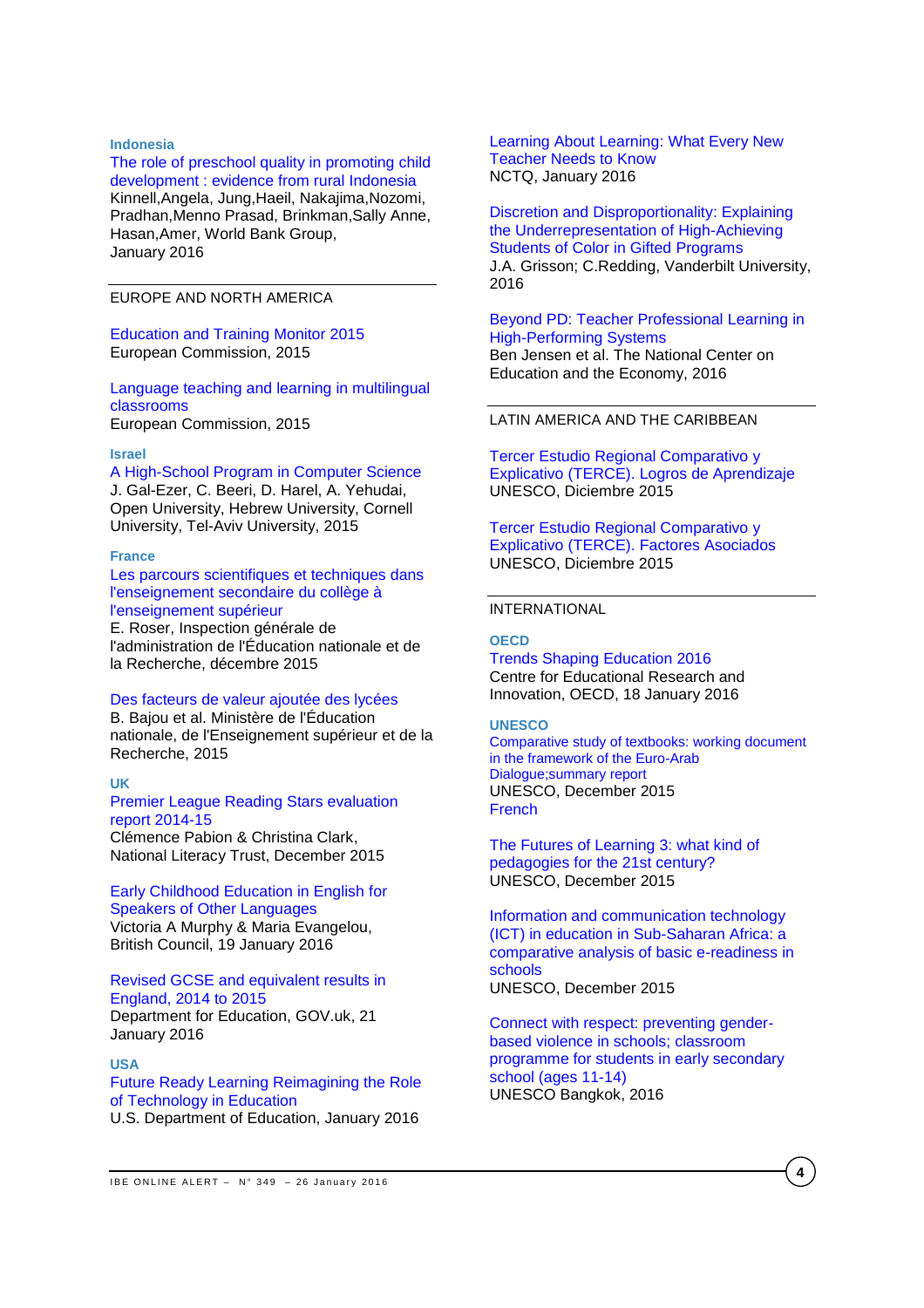### **Indonesia**

### [The role of preschool quality in promoting child](http://www-wds.worldbank.org/external/default/WDSContentServer/WDSP/T_MNA/2016/01/05/090224b08400f637/1_0/Rendered/PDF/The0role0of0pr0from0rural0Indonesia.pdf)  [development : evidence from rural Indonesia](http://www-wds.worldbank.org/external/default/WDSContentServer/WDSP/T_MNA/2016/01/05/090224b08400f637/1_0/Rendered/PDF/The0role0of0pr0from0rural0Indonesia.pdf)

Kinnell,Angela, Jung,Haeil, Nakajima,Nozomi, Pradhan,Menno Prasad, Brinkman,Sally Anne, Hasan,Amer, World Bank Group, January 2016

EUROPE AND NORTH AMERICA

## [Education and Training Monitor 2015](http://ec.europa.eu/education/library/publications/monitor15_en.pdf) European Commission, 2015

[Language teaching and learning in multilingual](http://ec.europa.eu/languages/library/studies/multilingual-classroom_en.pdf)  [classrooms](http://ec.europa.eu/languages/library/studies/multilingual-classroom_en.pdf) European Commission, 2015

## **Israel**

[A High-School Program in Computer Science](http://www.openu.ac.il/personal_sites/download/galezer/high-school-program.pdf) J. Gal-Ezer, C. Beeri, D. Harel, A. Yehudai, Open University, Hebrew University, Cornell University, Tel-Aviv University, 2015

#### **France**

[Les parcours scientifiques et techniques dans](http://cache.media.education.gouv.fr/file/2015/03/1/2015-088_parcours_scientifiques_2nd_degre_522031.pdf)  [l'enseignement secondaire du collège à](http://cache.media.education.gouv.fr/file/2015/03/1/2015-088_parcours_scientifiques_2nd_degre_522031.pdf)  [l'enseignement supérieur](http://cache.media.education.gouv.fr/file/2015/03/1/2015-088_parcours_scientifiques_2nd_degre_522031.pdf)

E. Roser, Inspection générale de l'administration de l'Éducation nationale et de la Recherche, décembre 2015

### [Des facteurs de valeur ajoutée des lycées](http://www.ladocumentationfrancaise.fr/var/storage/rapports-publics/154000868.pdf)

B. Bajou et al. Ministère de l'Éducation nationale, de l'Enseignement supérieur et de la Recherche, 2015

## **UK**

#### [Premier League Reading Stars evaluation](http://www.literacytrust.org.uk/assets/0002/9502/PLRS_2015_Evaluation_Report_Final.pdf)  [report 2014-15](http://www.literacytrust.org.uk/assets/0002/9502/PLRS_2015_Evaluation_Report_Final.pdf)

Clémence Pabion & Christina Clark, National Literacy Trust, December 2015

# [Early Childhood Education in English for](http://www.teachingenglish.org.uk/sites/teacheng/files/F240%20Early%20Childhood%20Education%20inners%20FINAL%20web.pdf)  [Speakers of Other Languages](http://www.teachingenglish.org.uk/sites/teacheng/files/F240%20Early%20Childhood%20Education%20inners%20FINAL%20web.pdf) Victoria A Murphy & Maria Evangelou,

British Council, 19 January 2016

## [Revised GCSE and equivalent results in](https://www.gov.uk/government/uploads/system/uploads/attachment_data/file/494073/SFR01_2016.pdf)  [England, 2014 to 2015](https://www.gov.uk/government/uploads/system/uploads/attachment_data/file/494073/SFR01_2016.pdf)

Department for Education, GOV.uk, 21 January 2016

# **USA**

[Future Ready Learning Reimagining the Role](http://tech.ed.gov/files/2015/12/NETP16.pdf)  [of Technology in Education](http://tech.ed.gov/files/2015/12/NETP16.pdf) U.S. Department of Education, January 2016

[Learning About Learning: What Every New](http://www.nctq.org/dmsView/Learning_About_Learning_Report)  [Teacher Needs to Know](http://www.nctq.org/dmsView/Learning_About_Learning_Report) NCTQ, January 2016

[Discretion and Disproportionality: Explaining](http://ero.sagepub.com/content/2/1/2332858415622175)  [the Underrepresentation of High-Achieving](http://ero.sagepub.com/content/2/1/2332858415622175)  [Students of Color in Gifted Programs](http://ero.sagepub.com/content/2/1/2332858415622175) J.A. Grisson; C.Redding, Vanderbilt University, 2016

## [Beyond PD: Teacher Professional](http://www.ncee.org/wp-content/uploads/2015/08/BeyondPDWeb.pdf) Learning in [High-Performing Systems](http://www.ncee.org/wp-content/uploads/2015/08/BeyondPDWeb.pdf) Ben Jensen et al. The National Center on

Education and the Economy, 2016

# LATIN AMERICA AND THE CARIBBEAN

[Tercer Estudio Regional Comparativo y](http://www.unesco.org/new/fileadmin/MULTIMEDIA/FIELD/Santiago/pdf/TERCE-Cuadernillo2-Logros-aprendizaje-WEB.pdf)  [Explicativo \(TERCE\). Logros de Aprendizaje](http://www.unesco.org/new/fileadmin/MULTIMEDIA/FIELD/Santiago/pdf/TERCE-Cuadernillo2-Logros-aprendizaje-WEB.pdf) UNESCO, Diciembre 2015

[Tercer Estudio Regional Comparativo y](http://www.unesco.org/new/fileadmin/MULTIMEDIA/FIELD/Santiago/pdf/TERCE-Cuadernillo3-Factores-Asociados.pdf)  [Explicativo \(TERCE\). Factores Asociados](http://www.unesco.org/new/fileadmin/MULTIMEDIA/FIELD/Santiago/pdf/TERCE-Cuadernillo3-Factores-Asociados.pdf) UNESCO, Diciembre 2015

### INTERNATIONAL

# **OECD**

Trends Shaping [Education](http://www.oecd-ilibrary.org/docserver/download/9616011e.pdf?expires=1453279460&id=id&accname=ocid57015268&checksum=B0DDB86B7FE3A9D821E6203B7A7288EF) 2016 Centre for Educational Research and Innovation, OECD, 18 January 2016

### **UNESCO**

[Comparative study of textbooks: working document](http://unesdoc.unesco.org/images/0024/002431/243181e.pdf)  [in the framework of the Euro-Arab](http://unesdoc.unesco.org/images/0024/002431/243181e.pdf)  [Dialogue;summary report](http://unesdoc.unesco.org/images/0024/002431/243181e.pdf) UNESCO, December 2015 **[French](http://unesdoc.unesco.org/images/0024/002431/243181f.pdf)** 

[The Futures of Learning 3: what kind of](http://unesdoc.unesco.org/images/0024/002431/243126e.pdf)  [pedagogies for the 21st century?](http://unesdoc.unesco.org/images/0024/002431/243126e.pdf) UNESCO, December 2015

[Information and communication technology](http://unesdoc.unesco.org/images/0023/002342/234279e.pdf)  [\(ICT\) in education in Sub-Saharan Africa: a](http://unesdoc.unesco.org/images/0023/002342/234279e.pdf)  [comparative analysis of basic e-readiness in](http://unesdoc.unesco.org/images/0023/002342/234279e.pdf)  [schools](http://unesdoc.unesco.org/images/0023/002342/234279e.pdf) UNESCO, December 2015

[Connect with respect: preventing gender](http://unesdoc.unesco.org/images/0024/002432/243252e.pdf)[based violence in schools; classroom](http://unesdoc.unesco.org/images/0024/002432/243252e.pdf)  [programme for students in early secondary](http://unesdoc.unesco.org/images/0024/002432/243252e.pdf)  [school \(ages 11-14\)](http://unesdoc.unesco.org/images/0024/002432/243252e.pdf) UNESCO Bangkok, 2016

**4**